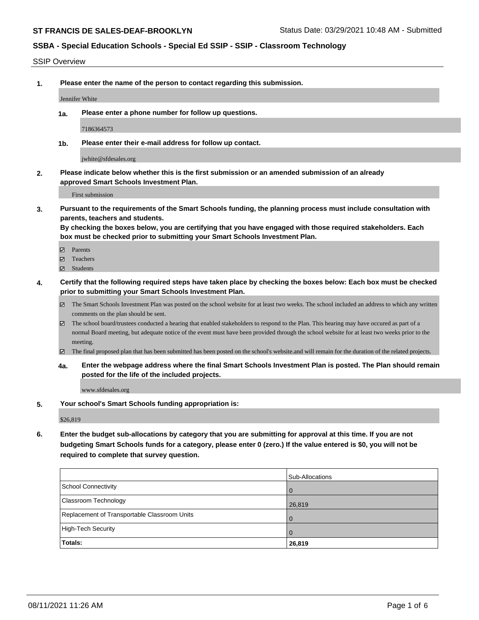#### SSIP Overview

**1. Please enter the name of the person to contact regarding this submission.**

Jennifer White

**1a. Please enter a phone number for follow up questions.**

7186364573

**1b. Please enter their e-mail address for follow up contact.**

jwhite@sfdesales.org

**2. Please indicate below whether this is the first submission or an amended submission of an already approved Smart Schools Investment Plan.**

First submission

**3. Pursuant to the requirements of the Smart Schools funding, the planning process must include consultation with parents, teachers and students.**

**By checking the boxes below, you are certifying that you have engaged with those required stakeholders. Each box must be checked prior to submitting your Smart Schools Investment Plan.**

- Parents
- Teachers
- Students
- **4. Certify that the following required steps have taken place by checking the boxes below: Each box must be checked prior to submitting your Smart Schools Investment Plan.**
	- The Smart Schools Investment Plan was posted on the school website for at least two weeks. The school included an address to which any written comments on the plan should be sent.
	- The school board/trustees conducted a hearing that enabled stakeholders to respond to the Plan. This hearing may have occured as part of a normal Board meeting, but adequate notice of the event must have been provided through the school website for at least two weeks prior to the meeting.
	- The final proposed plan that has been submitted has been posted on the school's website.and will remain for the duration of the related projects.
	- **4a. Enter the webpage address where the final Smart Schools Investment Plan is posted. The Plan should remain posted for the life of the included projects.**

www.sfdesales.org

**5. Your school's Smart Schools funding appropriation is:**

\$26,819

**6. Enter the budget sub-allocations by category that you are submitting for approval at this time. If you are not budgeting Smart Schools funds for a category, please enter 0 (zero.) If the value entered is \$0, you will not be required to complete that survey question.**

|                                              | Sub-Allocations |
|----------------------------------------------|-----------------|
| School Connectivity                          | <b>O</b>        |
| Classroom Technology                         | 26,819          |
| Replacement of Transportable Classroom Units | $\overline{0}$  |
| High-Tech Security                           | . O             |
| Totals:                                      | 26,819          |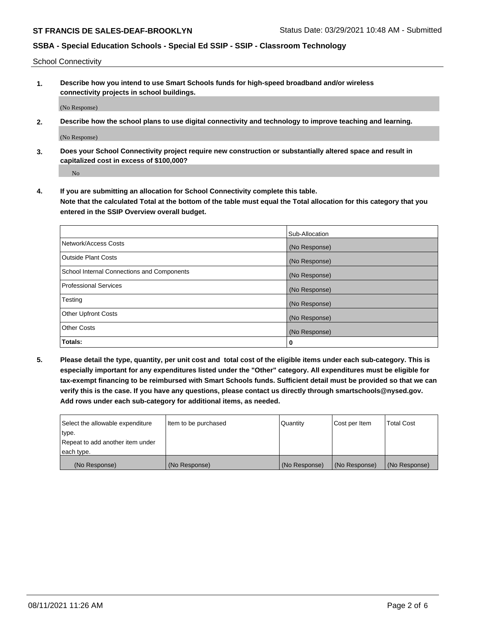School Connectivity

**1. Describe how you intend to use Smart Schools funds for high-speed broadband and/or wireless connectivity projects in school buildings.**

(No Response)

**2. Describe how the school plans to use digital connectivity and technology to improve teaching and learning.**

(No Response)

**3. Does your School Connectivity project require new construction or substantially altered space and result in capitalized cost in excess of \$100,000?**

No

**4. If you are submitting an allocation for School Connectivity complete this table. Note that the calculated Total at the bottom of the table must equal the Total allocation for this category that you entered in the SSIP Overview overall budget.** 

|                                            | Sub-Allocation |
|--------------------------------------------|----------------|
| Network/Access Costs                       | (No Response)  |
| <b>Outside Plant Costs</b>                 | (No Response)  |
| School Internal Connections and Components | (No Response)  |
| <b>Professional Services</b>               | (No Response)  |
| Testing                                    | (No Response)  |
| <b>Other Upfront Costs</b>                 | (No Response)  |
| <b>Other Costs</b>                         | (No Response)  |
| Totals:                                    | 0              |

**5. Please detail the type, quantity, per unit cost and total cost of the eligible items under each sub-category. This is especially important for any expenditures listed under the "Other" category. All expenditures must be eligible for tax-exempt financing to be reimbursed with Smart Schools funds. Sufficient detail must be provided so that we can verify this is the case. If you have any questions, please contact us directly through smartschools@nysed.gov. Add rows under each sub-category for additional items, as needed.**

| each type.<br>(No Response)      | (No Response)          | (No Response) | (No Response) | (No Response)     |
|----------------------------------|------------------------|---------------|---------------|-------------------|
|                                  |                        |               |               |                   |
| Repeat to add another item under |                        |               |               |                   |
| ∣type.                           |                        |               |               |                   |
| Select the allowable expenditure | I Item to be purchased | Quantity      | Cost per Item | <b>Total Cost</b> |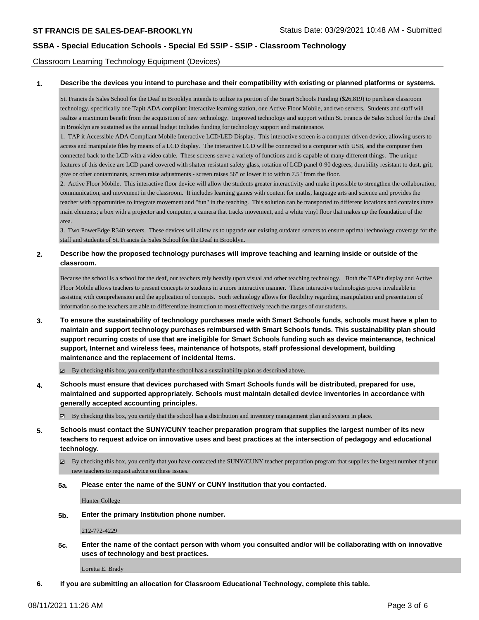Classroom Learning Technology Equipment (Devices)

#### **1. Describe the devices you intend to purchase and their compatibility with existing or planned platforms or systems.**

St. Francis de Sales School for the Deaf in Brooklyn intends to utilize its portion of the Smart Schools Funding (\$26,819) to purchase classroom technology, specifically one Tapit ADA compliant interactive learning station, one Active Floor Mobile, and two servers. Students and staff will realize a maximum benefit from the acquisition of new technology. Improved technology and support within St. Francis de Sales School for the Deaf in Brooklyn are sustained as the annual budget includes funding for technology support and maintenance.

1. TAP it Accessible ADA Compliant Mobile Interactive LCD/LED Display. This interactive screen is a computer driven device, allowing users to access and manipulate files by means of a LCD display. The interactive LCD will be connected to a computer with USB, and the computer then connected back to the LCD with a video cable. These screens serve a variety of functions and is capable of many different things. The unique features of this device are LCD panel covered with shatter resistant safety glass, rotation of LCD panel 0-90 degrees, durability resistant to dust, grit, give or other contaminants, screen raise adjustments - screen raises 56" or lower it to within 7.5" from the floor.

2. Active Floor Mobile. This interactive floor device will allow the students greater interactivity and make it possible to strengthen the collaboration, communication, and movement in the classroom. It includes learning games with content for maths, language arts and science and provides the teacher with opportunities to integrate movement and "fun" in the teaching. This solution can be transported to different locations and contains three main elements; a box with a projector and computer, a camera that tracks movement, and a white vinyl floor that makes up the foundation of the area.

3. Two PowerEdge R340 servers. These devices will allow us to upgrade our existing outdated servers to ensure optimal technology coverage for the staff and students of St. Francis de Sales School for the Deaf in Brooklyn.

### **2. Describe how the proposed technology purchases will improve teaching and learning inside or outside of the classroom.**

Because the school is a school for the deaf, our teachers rely heavily upon visual and other teaching technology. Both the TAPit display and Active Floor Mobile allows teachers to present concepts to students in a more interactive manner. These interactive technologies prove invaluable in assisting with comprehension and the application of concepts. Such technology allows for flexibility regarding manipulation and presentation of information so the teachers are able to differentiate instruction to most effectively reach the ranges of our students.

**3. To ensure the sustainability of technology purchases made with Smart Schools funds, schools must have a plan to maintain and support technology purchases reimbursed with Smart Schools funds. This sustainability plan should support recurring costs of use that are ineligible for Smart Schools funding such as device maintenance, technical support, Internet and wireless fees, maintenance of hotspots, staff professional development, building maintenance and the replacement of incidental items.**

By checking this box, you certify that the school has a sustainability plan as described above.

**4. Schools must ensure that devices purchased with Smart Schools funds will be distributed, prepared for use, maintained and supported appropriately. Schools must maintain detailed device inventories in accordance with generally accepted accounting principles.**

By checking this box, you certify that the school has a distribution and inventory management plan and system in place.

- **5. Schools must contact the SUNY/CUNY teacher preparation program that supplies the largest number of its new teachers to request advice on innovative uses and best practices at the intersection of pedagogy and educational technology.**
	- By checking this box, you certify that you have contacted the SUNY/CUNY teacher preparation program that supplies the largest number of your new teachers to request advice on these issues.

### **5a. Please enter the name of the SUNY or CUNY Institution that you contacted.**

Hunter College

**5b. Enter the primary Institution phone number.**

212-772-4229

**5c. Enter the name of the contact person with whom you consulted and/or will be collaborating with on innovative uses of technology and best practices.**

Loretta E. Brady

**6. If you are submitting an allocation for Classroom Educational Technology, complete this table.**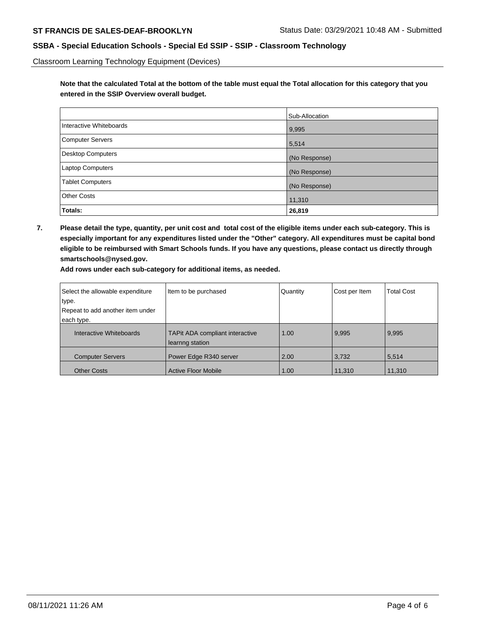Classroom Learning Technology Equipment (Devices)

**Note that the calculated Total at the bottom of the table must equal the Total allocation for this category that you entered in the SSIP Overview overall budget.**

|                          | Sub-Allocation |
|--------------------------|----------------|
| Interactive Whiteboards  | 9,995          |
| <b>Computer Servers</b>  | 5,514          |
| <b>Desktop Computers</b> | (No Response)  |
| Laptop Computers         | (No Response)  |
| <b>Tablet Computers</b>  | (No Response)  |
| <b>Other Costs</b>       | 11,310         |
| Totals:                  | 26,819         |

**7. Please detail the type, quantity, per unit cost and total cost of the eligible items under each sub-category. This is especially important for any expenditures listed under the "Other" category. All expenditures must be capital bond eligible to be reimbursed with Smart Schools funds. If you have any questions, please contact us directly through smartschools@nysed.gov.**

| Select the allowable expenditure<br>type.<br>Repeat to add another item under<br>each type. | Item to be purchased                               | Quantity | Cost per Item | <b>Total Cost</b> |
|---------------------------------------------------------------------------------------------|----------------------------------------------------|----------|---------------|-------------------|
| Interactive Whiteboards                                                                     | TAPit ADA compliant interactive<br>learnng station | 1.00     | 9,995         | 9,995             |
| <b>Computer Servers</b>                                                                     | Power Edge R340 server                             | 2.00     | 3,732         | 5,514             |
| <b>Other Costs</b>                                                                          | <b>Active Floor Mobile</b>                         | 1.00     | 11.310        | 11.310            |

**Add rows under each sub-category for additional items, as needed.**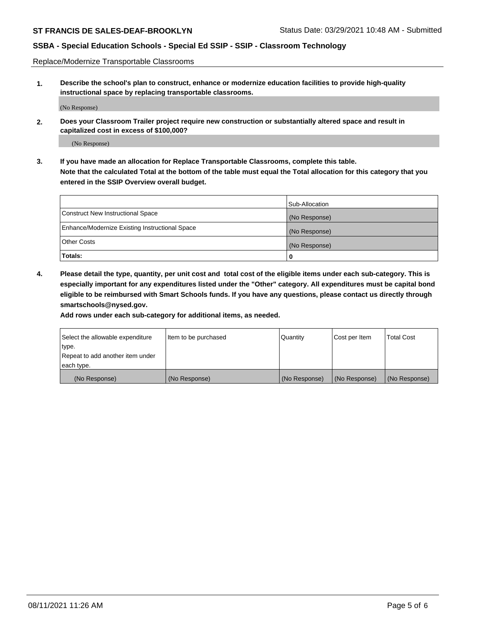Replace/Modernize Transportable Classrooms

**1. Describe the school's plan to construct, enhance or modernize education facilities to provide high-quality instructional space by replacing transportable classrooms.**

(No Response)

**2. Does your Classroom Trailer project require new construction or substantially altered space and result in capitalized cost in excess of \$100,000?**

(No Response)

**3. If you have made an allocation for Replace Transportable Classrooms, complete this table. Note that the calculated Total at the bottom of the table must equal the Total allocation for this category that you entered in the SSIP Overview overall budget.**

|                                                | Sub-Allocation |
|------------------------------------------------|----------------|
| Construct New Instructional Space              | (No Response)  |
| Enhance/Modernize Existing Instructional Space | (No Response)  |
| Other Costs                                    | (No Response)  |
| Totals:                                        | 0              |

**4. Please detail the type, quantity, per unit cost and total cost of the eligible items under each sub-category. This is especially important for any expenditures listed under the "Other" category. All expenditures must be capital bond eligible to be reimbursed with Smart Schools funds. If you have any questions, please contact us directly through smartschools@nysed.gov.**

**Add rows under each sub-category for additional items, as needed.**

| Select the allowable expenditure | Item to be purchased | Quantity      | Cost per Item | <b>Total Cost</b> |
|----------------------------------|----------------------|---------------|---------------|-------------------|
| 'type.                           |                      |               |               |                   |
| Repeat to add another item under |                      |               |               |                   |
| each type.                       |                      |               |               |                   |
| (No Response)                    | (No Response)        | (No Response) | (No Response) | (No Response)     |